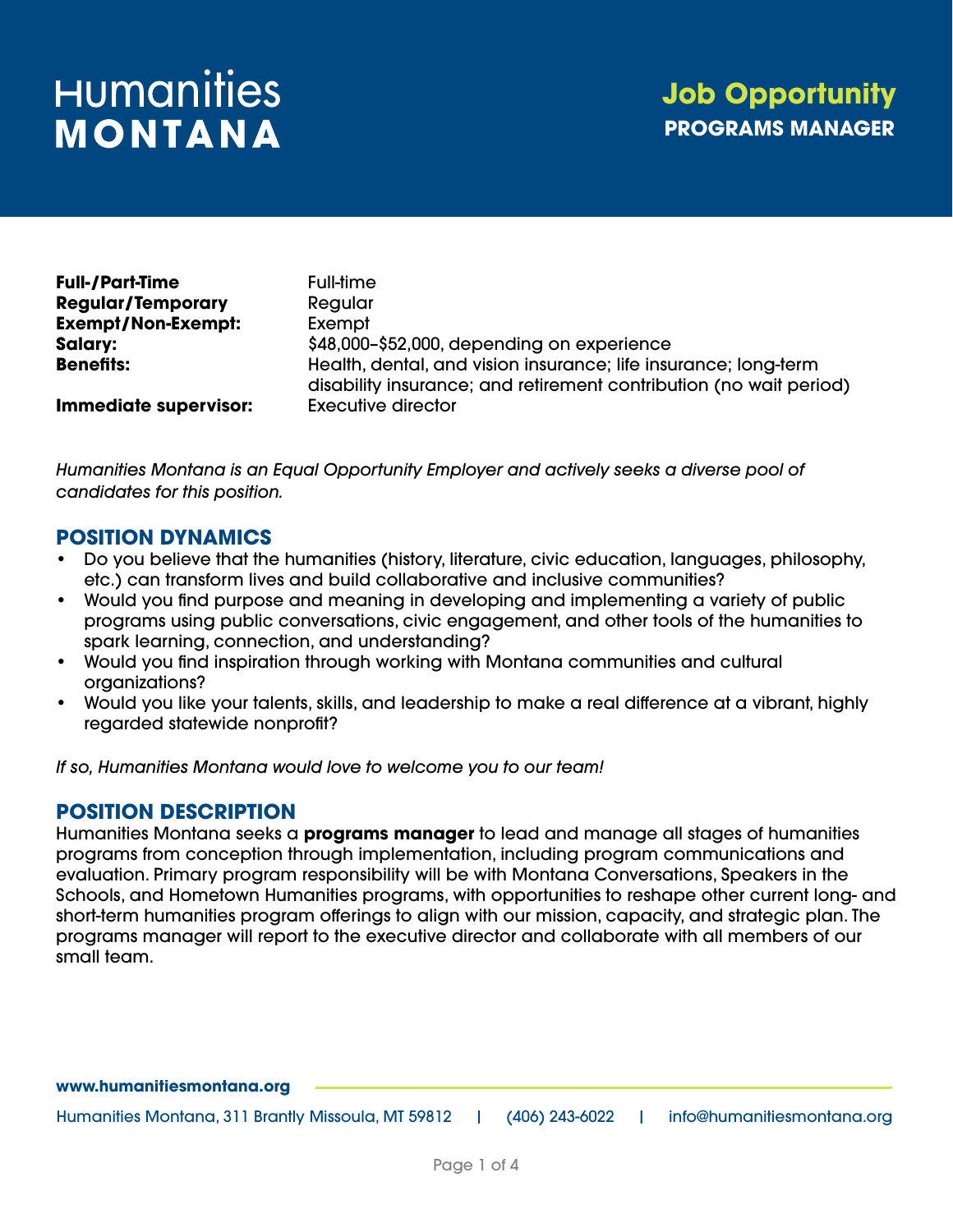# **Humanities MONTANA**

# **Job Opportunity PROGRAMS MANAGER**

**Full-/Part-Time Regular/Temporary Exempt/Non-Exempt: Salary: Benefits:**

Full-time Regular Exempt \$48,000–\$52,000, depending on experience Health, dental, and vision insurance; life insurance; long-term disability insurance; and retirement contribution (no wait period) Executive director

**Immediate supervisor:**

Humanities Montana is an Equal Opportunity Employer and actively seeks a diverse pool of candidates for this position.

### **POSITION DYNAMICS**

- Do you believe that the humanities (history, literature, civic education, languages, philosophy, etc.) can transform lives and build collaborative and inclusive communities?
- Would you find purpose and meaning in developing and implementing a variety of public programs using public conversations, civic engagement, and other tools of the humanities to spark learning, connection, and understanding?
- Would you find inspiration through working with Montana communities and cultural organizations?
- Would you like your talents, skills, and leadership to make a real difference at a vibrant, highly regarded statewide nonprofit?

If so, Humanities Montana would love to welcome you to our team!

### **POSITION DESCRIPTION**

Humanities Montana seeks a **programs manager** to lead and manage all stages of humanities programs from conception through implementation, including program communications and evaluation. Primary program responsibility will be with Montana Conversations, Speakers in the Schools, and Hometown Humanities programs, with opportunities to reshape other current long- and short-term humanities program offerings to align with our mission, capacity, and strategic plan. The programs manager will report to the executive director and collaborate with all members of our small team.

#### **[www.humanitiesmontana.org](https://www.humanitiesmontana.org/)**

[Humanities Montana, 311 Brantly Missoula, MT 59812](https://goo.gl/maps/gRVq1bV7xadMTE7P6) | [\(406\) 243-6022](tel:14062436022) | [info@humanitiesmontana.org](mailto:info@humanitiesmontana.org)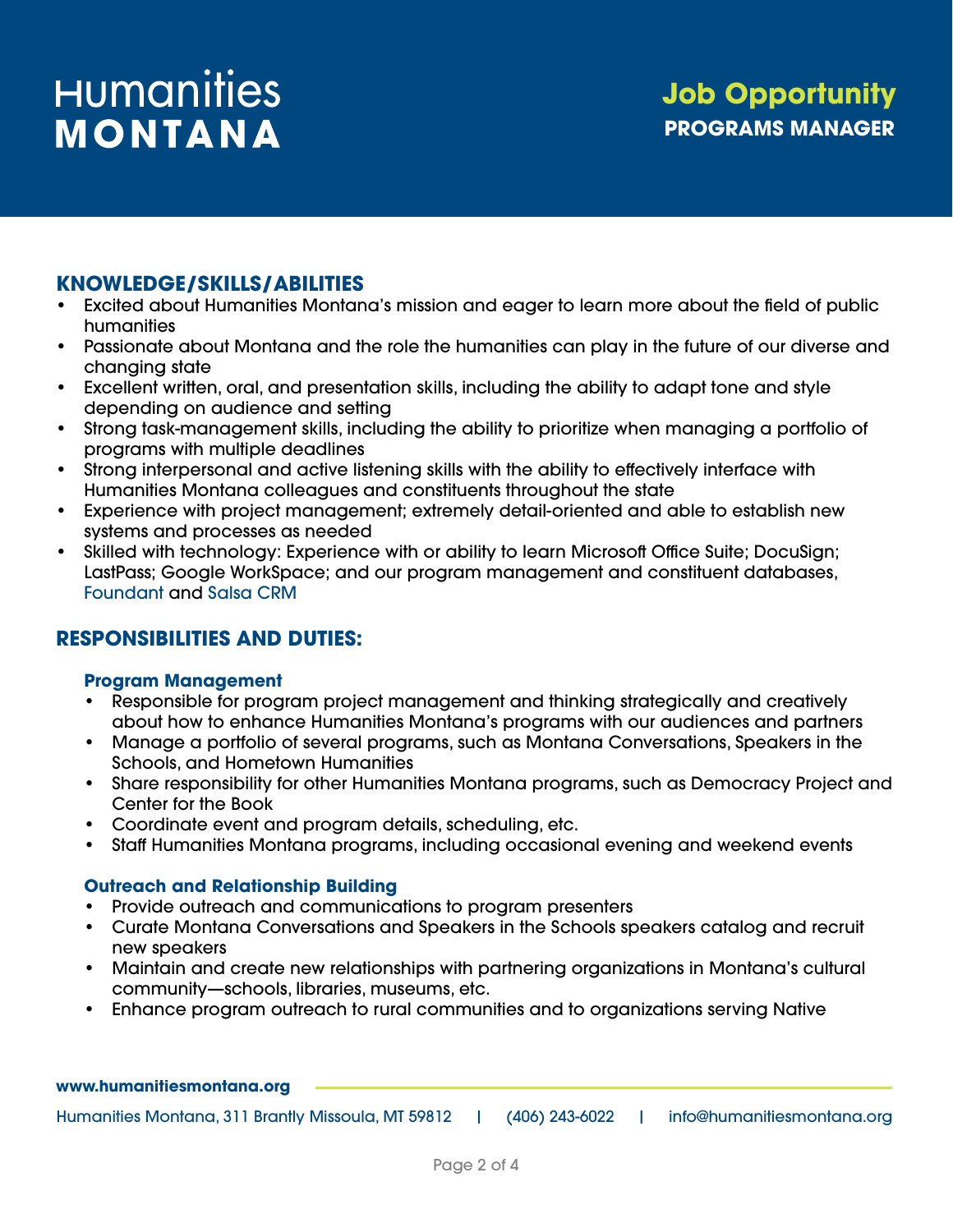# Humanities MONTANA

### **KNOWLEDGE/SKILLS/ABILITIES**

- Excited about Humanities Montana's mission and eager to learn more about the field of public humanities
- Passionate about Montana and the role the humanities can play in the future of our diverse and changing state
- Excellent written, oral, and presentation skills, including the ability to adapt tone and style depending on audience and setting
- Strong task-management skills, including the ability to prioritize when managing a portfolio of programs with multiple deadlines
- Strong interpersonal and active listening skills with the ability to effectively interface with Humanities Montana colleagues and constituents throughout the state
- Experience with project management; extremely detail-oriented and able to establish new systems and processes as needed
- Skilled with technology: Experience with or ability to learn Microsoft Office Suite; DocuSign; LastPass; Google WorkSpace; and our program management and constituent databases, [Foundant](https://www.foundant.com/) and [Salsa CRM](https://www.salsalabs.com/crm-overview)

### **RESPONSIBILITIES AND DUTIES:**

### **Program Management**

- Responsible for program project management and thinking strategically and creatively about how to enhance Humanities Montana's programs with our audiences and partners
- Manage a portfolio of several programs, such as Montana Conversations, Speakers in the Schools, and Hometown Humanities
- Share responsibility for other Humanities Montana programs, such as Democracy Project and Center for the Book
- Coordinate event and program details, scheduling, etc.
- Staff Humanities Montana programs, including occasional evening and weekend events

### **Outreach and Relationship Building**

- Provide outreach and communications to program presenters
- Curate Montana Conversations and Speakers in the Schools speakers catalog and recruit new speakers
- Maintain and create new relationships with partnering organizations in Montana's cultural community—schools, libraries, museums, etc.
- Enhance program outreach to rural communities and to organizations serving Native

[Humanities Montana, 311 Brantly Missoula, MT 59812](https://goo.gl/maps/gRVq1bV7xadMTE7P6) | [\(406\) 243-6022](tel:14062436022) | [info@humanitiesmontana.org](mailto:info@humanitiesmontana.org)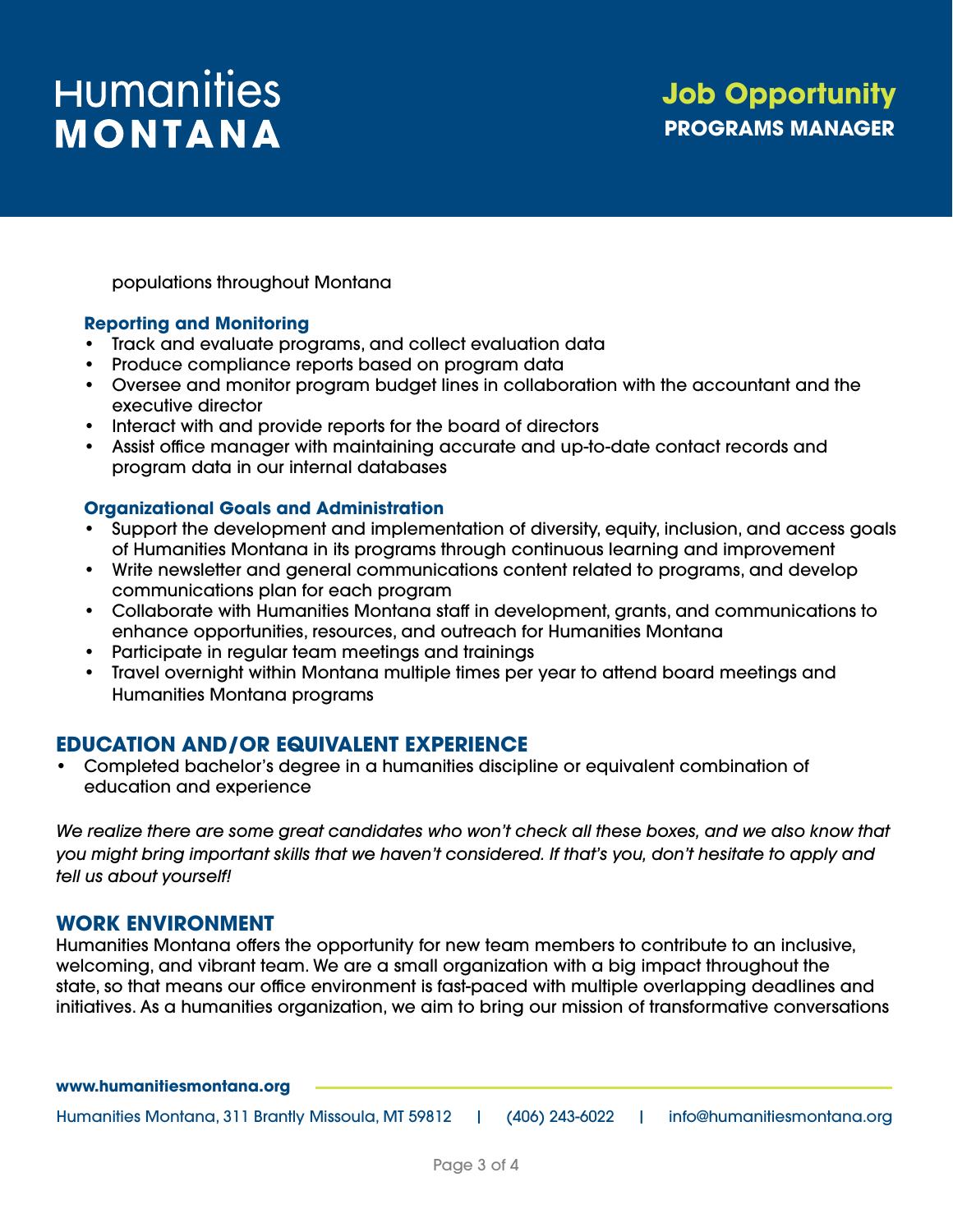# **Humanities MONTANA**

populations throughout Montana

### **Reporting and Monitoring**

- Track and evaluate programs, and collect evaluation data
- Produce compliance reports based on program data
- Oversee and monitor program budget lines in collaboration with the accountant and the executive director
- Interact with and provide reports for the board of directors
- Assist office manager with maintaining accurate and up-to-date contact records and program data in our internal databases

### **Organizational Goals and Administration**

- Support the development and implementation of diversity, equity, inclusion, and access goals of Humanities Montana in its programs through continuous learning and improvement
- Write newsletter and general communications content related to programs, and develop communications plan for each program
- Collaborate with Humanities Montana staff in development, grants, and communications to enhance opportunities, resources, and outreach for Humanities Montana
- Participate in regular team meetings and trainings
- Travel overnight within Montana multiple times per year to attend board meetings and Humanities Montana programs

### **EDUCATION AND/OR EQUIVALENT EXPERIENCE**

• Completed bachelor's degree in a humanities discipline or equivalent combination of education and experience

We realize there are some great candidates who won't check all these boxes, and we also know that you might bring important skills that we haven't considered. If that's you, don't hesitate to apply and tell us about yourself!

### **WORK ENVIRONMENT**

Humanities Montana offers the opportunity for new team members to contribute to an inclusive, welcoming, and vibrant team. We are a small organization with a big impact throughout the state, so that means our office environment is fast-paced with multiple overlapping deadlines and initiatives. As a humanities organization, we aim to bring our mission of transformative conversations

#### **[www.humanitiesmontana.org](https://www.humanitiesmontana.org/)**

[Humanities Montana, 311 Brantly Missoula, MT 59812](https://goo.gl/maps/gRVq1bV7xadMTE7P6) | [\(406\) 243-6022](tel:14062436022) | [info@humanitiesmontana.org](mailto:info@humanitiesmontana.org)